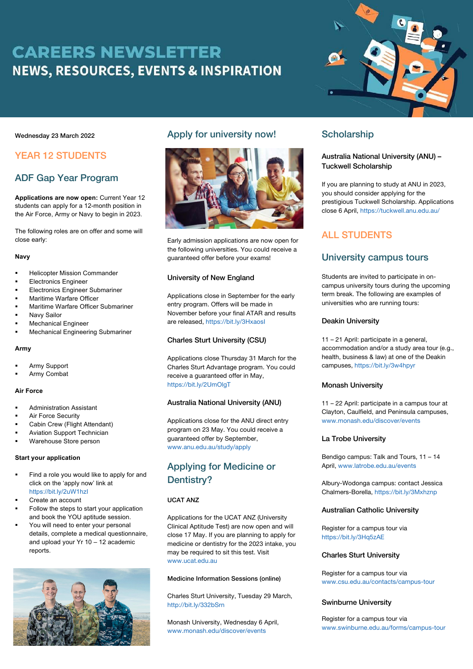# **CAREERS NEWSLETTER NEWS, RESOURCES, EVENTS & INSPIRATION**



#### Wednesday 23 March 2022

# YEAR 12 STUDENTS

# ADF Gap Year Program

**Applications are now open:** Current Year 12 students can apply for a 12-month position in the Air Force, Army or Navy to begin in 2023.

The following roles are on offer and some will close early:

#### **Navy**

- § Helicopter Mission Commander
- § Electronics Engineer
- § Electronics Engineer Submariner
- § Maritime Warfare Officer
- § Maritime Warfare Officer Submariner
- § Navy Sailor
- § Mechanical Engineer
- § Mechanical Engineering Submariner

#### **Army**

- § Army Support
- § Army Combat

#### **Air Force**

- § Administration Assistant
- § Air Force Security
- Cabin Crew (Flight Attendant)
- § Aviation Support Technician
- § Warehouse Store person

#### **Start your application**

- Find a role you would like to apply for and click on the 'apply now' link at https://bit.ly/2uW1hzI
- § Create an account
- Follow the steps to start your application and book the YOU aptitude session.
- You will need to enter your personal details, complete a medical questionnaire, and upload your Yr 10 – 12 academic reports.



# Apply for university now!



Early admission applications are now open for the following universities. You could receive a guaranteed offer before your exams!

#### University of New England

Applications close in September for the early entry program. Offers will be made in November before your final ATAR and results are released, https://bit.ly/3HxaosI

#### Charles Sturt University (CSU)

Applications close Thursday 31 March for the Charles Sturt Advantage program. You could receive a guaranteed offer in May, https://bit.ly/2UmOlgT

#### Australia National University (ANU)

Applications close for the ANU direct entry program on 23 May. You could receive a guaranteed offer by September, www.anu.edu.au/study/apply

# Applying for Medicine or Dentistry?

### UCAT ANZ

Applications for the UCAT ANZ (University Clinical Aptitude Test) are now open and will close 17 May. If you are planning to apply for medicine or dentistry for the 2023 intake, you may be required to sit this test. Visit www.ucat.edu.au

# Medicine Information Sessions (online)

Charles Sturt University, Tuesday 29 March, http://bit.ly/332bSrn

Monash University, Wednesday 6 April, www.monash.edu/discover/events

# **Scholarship**

### Australia National University (ANU) – Tuckwell Scholarship

If you are planning to study at ANU in 2023, you should consider applying for the prestigious Tuckwell Scholarship. Applications close 6 April, https://tuckwell.anu.edu.au/

# ALL STUDENTS

# University campus tours

Students are invited to participate in oncampus university tours during the upcoming term break. The following are examples of universities who are running tours:

#### Deakin University

11 – 21 April: participate in a general, accommodation and/or a study area tour (e.g., health, business & law) at one of the Deakin campuses, https://bit.ly/3w4hpyr

#### Monash University

11 – 22 April: participate in a campus tour at Clayton, Caulfield, and Peninsula campuses, www.monash.edu/discover/events

#### La Trobe University

Bendigo campus: Talk and Tours, 11 – 14 April, www.latrobe.edu.au/events

Albury-Wodonga campus: contact Jessica Chalmers-Borella, https://bit.ly/3Mxhznp

#### Australian Catholic University

Register for a campus tour via https://bit.ly/3Hq5zAE

#### Charles Sturt University

Register for a campus tour via www.csu.edu.au/contacts/campus-tour

#### Swinburne University

Register for a campus tour via www.swinburne.edu.au/forms/campus-tour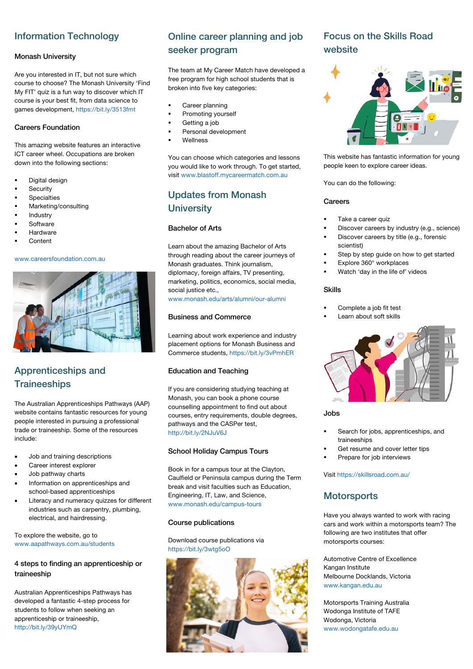# Information Technology

### Monash University

Are you interested in IT, but not sure which course to choose? The Monash University 'Find My FIT' quiz is a fun way to discover which IT course is your best fit, from data science to games development, https://bit.ly/3513fmt

### Careers Foundation

This amazing website features an interactive ICT career wheel. Occupations are broken down into the following sections:

- Digital design
- **Security**
- **Specialties**
- § Marketing/consulting
- **Industry**
- § Software
- **Hardware**
- § Content

# www.careersfoundation.com.au



# Apprenticeships and **Traineeships**

The Australian Apprenticeships Pathways (AAP) website contains fantastic resources for young people interested in pursuing a professional trade or traineeship. Some of the resources include:

- Job and training descriptions
- Career interest explorer
- Job pathway charts
- Information on apprenticeships and school-based apprenticeships
- Literacy and numeracy quizzes for different industries such as carpentry, plumbing, electrical, and hairdressing.

#### To explore the website, go to www.aapathways.com.au/students

### 4 steps to finding an apprenticeship or traineeship

Australian Apprenticeships Pathways has developed a fantastic 4-step process for students to follow when seeking an apprenticeship or traineeship, http://bit.ly/39yUYmQ

# Online career planning and job seeker program

The team at My Career Match have developed a free program for high school students that is broken into five key categories:

- Career planning
- § Promoting yourself
- Getting a job
- § Personal development
- § Wellness

You can choose which categories and lessons you would like to work through. To get started, visit www.blastoff.mycareermatch.com.au

# Updates from Monash **University**

# Bachelor of Arts

Learn about the amazing Bachelor of Arts through reading about the career journeys of Monash graduates. Think journalism, diplomacy, foreign affairs, TV presenting, marketing, politics, economics, social media, social justice etc.,

www.monash.edu/arts/alumni/our-alumni

### Business and Commerce

Learning about work experience and industry placement options for Monash Business and Commerce students, https://bit.ly/3vPmhER

#### Education and Teaching

If you are considering studying teaching at Monash, you can book a phone course counselling appointment to find out about courses, entry requirements, double degrees, pathways and the CASPer test, http://bit.ly/2NJuV6J

### School Holiday Campus Tours

Book in for a campus tour at the Clayton, Caulfield or Peninsula campus during the Term break and visit faculties such as Education, Engineering, IT, Law, and Science, www.monash.edu/campus-tours

#### Course publications

Download course publications via https://bit.ly/3wtg5oO



# Focus on the Skills Road website



This website has fantastic information for young people keen to explore career ideas.

You can do the following:

#### **Careers**

- Take a career quiz
- § Discover careers by industry (e.g., science)
- Discover careers by title (e.g., forensic scientist)
- Step by step guide on how to get started
- § Explore 360° workplaces
- Watch 'day in the life of' videos

#### Skills

- § Complete a job fit test
- Learn about soft skills



# Jobs

- Search for jobs, apprenticeships, and traineeships
- Get resume and cover letter tips
- § Prepare for job interviews

Visit https://skillsroad.com.au/

# **Motorsports**

Have you always wanted to work with racing cars and work within a motorsports team? The following are two institutes that offer motorsports courses:

Automotive Centre of Excellence Kangan Institute Melbourne Docklands, Victoria www.kangan.edu.au

Motorsports Training Australia Wodonga Institute of TAFE Wodonga, Victoria www.wodongatafe.edu.au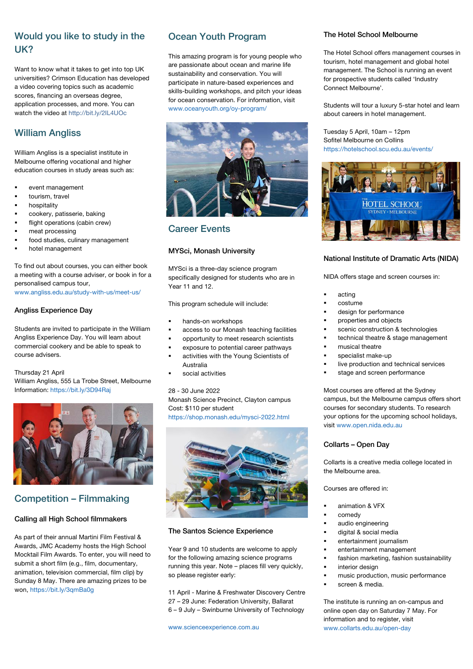# Would you like to study in the UK?

Want to know what it takes to get into top UK universities? Crimson Education has developed a video covering topics such as academic scores, financing an overseas degree, application processes, and more. You can watch the video at http://bit.ly/2IL4UOc

# William Angliss

William Angliss is a specialist institute in Melbourne offering vocational and higher education courses in study areas such as:

- § event management
- tourism, travel
- hospitality
- § cookery, patisserie, baking
- flight operations (cabin crew)
- § meat processing
- food studies, culinary management
- hotel management

To find out about courses, you can either book a meeting with a course adviser, or book in for a personalised campus tour,

www.angliss.edu.au/study-with-us/meet-us/

### Angliss Experience Day

Students are invited to participate in the William Angliss Experience Day. You will learn about commercial cookery and be able to speak to course advisers.

Thursday 21 April William Angliss, 555 La Trobe Street, Melbourne Information: https://bit.ly/3D94Raj



# Competition – Filmmaking

#### Calling all High School filmmakers

As part of their annual Martini Film Festival & Awards, JMC Academy hosts the High School Mocktail Film Awards. To enter, you will need to submit a short film (e.g., film, documentary, animation, television commercial, film clip) by Sunday 8 May. There are amazing prizes to be won, https://bit.ly/3qmBa0g

# Ocean Youth Program

This amazing program is for young people who are passionate about ocean and marine life sustainability and conservation. You will participate in nature-based experiences and skills-building workshops, and pitch your ideas for ocean conservation. For information, visit www.oceanyouth.org/oy-program/



# Career Events

### MYSci, Monash University

MYSci is a three-day science program specifically designed for students who are in Year 11 and 12.

This program schedule will include:

- § hands-on workshops
- access to our Monash teaching facilities
- § opportunity to meet research scientists
- § exposure to potential career pathways
- activities with the Young Scientists of Australia
- § social activities

#### 28 - 30 June 2022

Monash Science Precinct, Clayton campus Cost: \$110 per student https://shop.monash.edu/mysci-2022.html



#### The Santos Science Experience

Year 9 and 10 students are welcome to apply for the following amazing science programs running this year. Note – places fill very quickly, so please register early:

11 April - Marine & Freshwater Discovery Centre 27 – 29 June: Federation University, Ballarat 6 – 9 July – Swinburne University of Technology

# The Hotel School Melbourne

The Hotel School offers management courses in tourism, hotel management and global hotel management. The School is running an event for prospective students called 'Industry Connect Melbourne'.

Students will tour a luxury 5-star hotel and learn about careers in hotel management.

Tuesday 5 April, 10am – 12pm Sofitel Melbourne on Collins https://hotelschool.scu.edu.au/events/



#### National Institute of Dramatic Arts (NIDA)

NIDA offers stage and screen courses in:

- § acting
- § costume
- design for performance
- § properties and objects
- scenic construction & technologies
- technical theatre & stage management
- § musical theatre
- § specialist make-up
- live production and technical services
- stage and screen performance

Most courses are offered at the Sydney campus, but the Melbourne campus offers short courses for secondary students. To research your options for the upcoming school holidays, visit www.open.nida.edu.au

#### Collarts – Open Day

Collarts is a creative media college located in the Melbourne area.

Courses are offered in:

- § animation & VFX
- § comedy
- audio engineering
- § digital & social media
- entertainment journalism
- entertainment management
- fashion marketing, fashion sustainability
- interior design
- music production, music performance
- screen & media.

The institute is running an on-campus and online open day on Saturday 7 May. For information and to register, visit www.collarts.edu.au/open-day